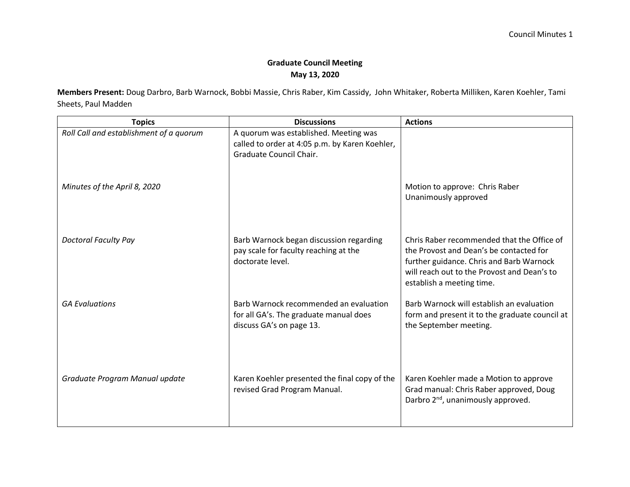## **Graduate Council Meeting May 13, 2020**

**Members Present:** Doug Darbro, Barb Warnock, Bobbi Massie, Chris Raber, Kim Cassidy, John Whitaker, Roberta Milliken, Karen Koehler, Tami Sheets, Paul Madden

| <b>Topics</b>                           | <b>Discussions</b>                                                                                                 | <b>Actions</b>                                                                                                                                                                                                |
|-----------------------------------------|--------------------------------------------------------------------------------------------------------------------|---------------------------------------------------------------------------------------------------------------------------------------------------------------------------------------------------------------|
| Roll Call and establishment of a quorum | A quorum was established. Meeting was<br>called to order at 4:05 p.m. by Karen Koehler,<br>Graduate Council Chair. |                                                                                                                                                                                                               |
| Minutes of the April 8, 2020            |                                                                                                                    | Motion to approve: Chris Raber<br>Unanimously approved                                                                                                                                                        |
| <b>Doctoral Faculty Pay</b>             | Barb Warnock began discussion regarding<br>pay scale for faculty reaching at the<br>doctorate level.               | Chris Raber recommended that the Office of<br>the Provost and Dean's be contacted for<br>further guidance. Chris and Barb Warnock<br>will reach out to the Provost and Dean's to<br>establish a meeting time. |
| <b>GA Evaluations</b>                   | Barb Warnock recommended an evaluation<br>for all GA's. The graduate manual does<br>discuss GA's on page 13.       | Barb Warnock will establish an evaluation<br>form and present it to the graduate council at<br>the September meeting.                                                                                         |
| Graduate Program Manual update          | Karen Koehler presented the final copy of the<br>revised Grad Program Manual.                                      | Karen Koehler made a Motion to approve<br>Grad manual: Chris Raber approved, Doug<br>Darbro 2 <sup>nd</sup> , unanimously approved.                                                                           |